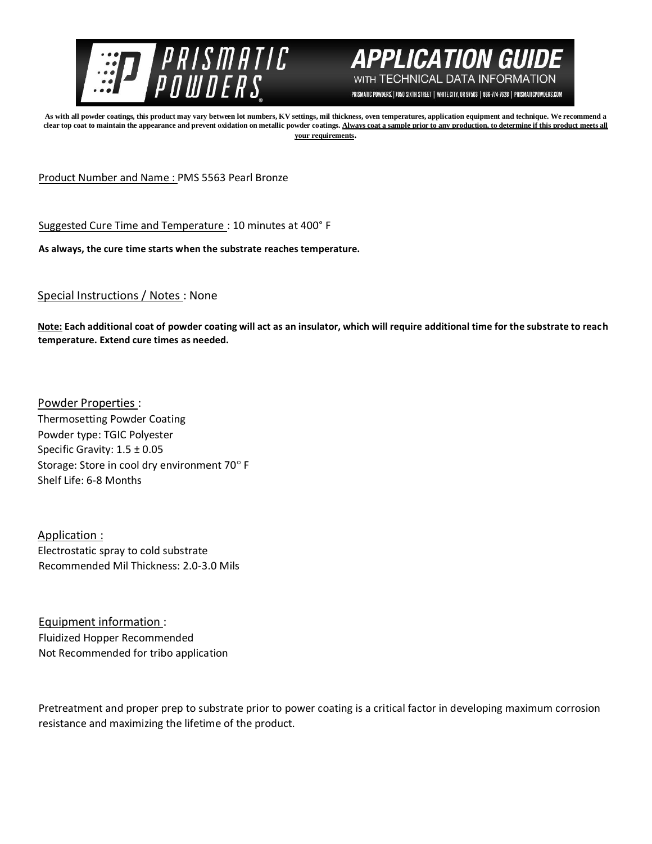



PRISMATIC POWDERS. | 7050 SIXTH STREET | WHITE CITY, OR 97503 | 866-774-7628 | PRISMATICPOWDERS.COM

**As with all powder coatings, this product may vary between lot numbers, KV settings, mil thickness, oven temperatures, application equipment and technique. We recommend a**  clear top coat to maintain the appearance and prevent oxidation on metallic powder coatings. Always coat a sample prior to any production, to determine if this product meets all **your requirements.** 

Product Number and Name : PMS 5563 Pearl Bronze

Suggested Cure Time and Temperature : 10 minutes at 400° F

**As always, the cure time starts when the substrate reaches temperature.**

Special Instructions / Notes : None

**Note: Each additional coat of powder coating will act as an insulator, which will require additional time for the substrate to reach temperature. Extend cure times as needed.** 

Powder Properties : Thermosetting Powder Coating Powder type: TGIC Polyester Specific Gravity: 1.5 ± 0.05 Storage: Store in cool dry environment 70° F Shelf Life: 6-8 Months

Application : Electrostatic spray to cold substrate Recommended Mil Thickness: 2.0-3.0 Mils

Equipment information : Fluidized Hopper Recommended Not Recommended for tribo application

Pretreatment and proper prep to substrate prior to power coating is a critical factor in developing maximum corrosion resistance and maximizing the lifetime of the product.